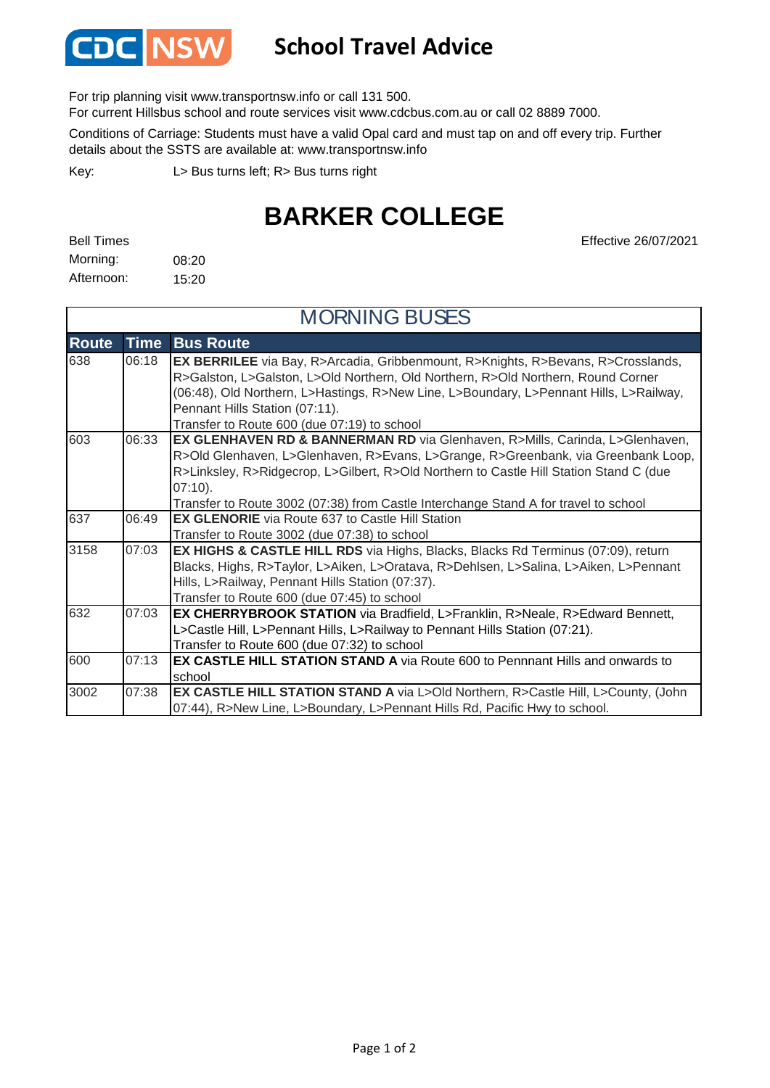

## **School Travel Advice**

For trip planning visit www.transportnsw.info or call 131 500.

For current Hillsbus school and route services visit www.cdcbus.com.au or call 02 8889 7000.

Conditions of Carriage: Students must have a valid Opal card and must tap on and off every trip. Further details about the SSTS are available at: www.transportnsw.info

L> Bus turns left; R> Bus turns right Key:

## **BARKER COLLEGE**

Effective 26/07/2021

| <b>Bell Times</b> |       |
|-------------------|-------|
| Morning:          | 08:20 |
| Afternoon:        | 15:20 |

| <b>MORNING BUSES</b> |       |                                                                                                                                                                                                                                                                                                                                                                  |
|----------------------|-------|------------------------------------------------------------------------------------------------------------------------------------------------------------------------------------------------------------------------------------------------------------------------------------------------------------------------------------------------------------------|
| <b>Route</b>         | Time  | <b>Bus Route</b>                                                                                                                                                                                                                                                                                                                                                 |
| 638                  | 06:18 | EX BERRILEE via Bay, R>Arcadia, Gribbenmount, R>Knights, R>Bevans, R>Crosslands,<br>R>Galston, L>Galston, L>Old Northern, Old Northern, R>Old Northern, Round Corner<br>(06:48), Old Northern, L>Hastings, R>New Line, L>Boundary, L>Pennant Hills, L>Railway,<br>Pennant Hills Station (07:11).<br>Transfer to Route 600 (due 07:19) to school                  |
| 603                  | 06:33 | EX GLENHAVEN RD & BANNERMAN RD via Glenhaven, R>Mills, Carinda, L>Glenhaven,<br>R>Old Glenhaven, L>Glenhaven, R>Evans, L>Grange, R>Greenbank, via Greenbank Loop,<br>R>Linksley, R>Ridgecrop, L>Gilbert, R>Old Northern to Castle Hill Station Stand C (due<br>$07:10$ ).<br>Transfer to Route 3002 (07:38) from Castle Interchange Stand A for travel to school |
| 637                  | 06:49 | <b>EX GLENORIE</b> via Route 637 to Castle Hill Station<br>Transfer to Route 3002 (due 07:38) to school                                                                                                                                                                                                                                                          |
| 3158                 | 07:03 | EX HIGHS & CASTLE HILL RDS via Highs, Blacks, Blacks Rd Terminus (07:09), return<br>Blacks, Highs, R>Taylor, L>Aiken, L>Oratava, R>Dehlsen, L>Salina, L>Aiken, L>Pennant<br>Hills, L>Railway, Pennant Hills Station (07:37).<br>Transfer to Route 600 (due 07:45) to school                                                                                      |
| 632                  | 07:03 | <b>EX CHERRYBROOK STATION</b> via Bradfield, L>Franklin, R>Neale, R>Edward Bennett,<br>L>Castle Hill, L>Pennant Hills, L>Railway to Pennant Hills Station (07:21).<br>Transfer to Route 600 (due 07:32) to school                                                                                                                                                |
| 600                  | 07:13 | <b>EX CASTLE HILL STATION STAND A</b> via Route 600 to Pennnant Hills and onwards to<br>school                                                                                                                                                                                                                                                                   |
| 3002                 | 07:38 | <b>EX CASTLE HILL STATION STAND A</b> via L>Old Northern, R>Castle Hill, L>County, (John<br>07:44), R>New Line, L>Boundary, L>Pennant Hills Rd, Pacific Hwy to school.                                                                                                                                                                                           |